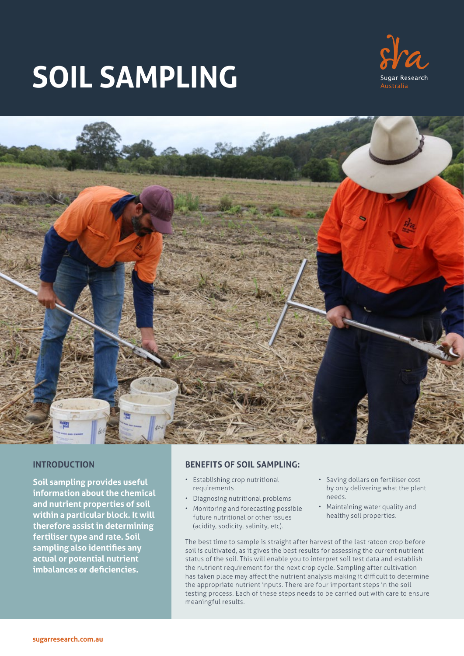# **SOIL SAMPLING**





## **INTRODUCTION**

**Soil sampling provides useful information about the chemical and nutrient properties of soil within a particular block. It will therefore assist in determining fertiliser type and rate. Soil sampling also identifies any actual or potential nutrient imbalances or deficiencies.**

## **BENEFITS OF SOIL SAMPLING:**

- Establishing crop nutritional requirements
- Diagnosing nutritional problems
- Monitoring and forecasting possible future nutritional or other issues (acidity, sodicity, salinity, etc).
- Saving dollars on fertiliser cost by only delivering what the plant needs.
- Maintaining water quality and healthy soil properties.

The best time to sample is straight after harvest of the last ratoon crop before soil is cultivated, as it gives the best results for assessing the current nutrient status of the soil. This will enable you to interpret soil test data and establish the nutrient requirement for the next crop cycle. Sampling after cultivation has taken place may affect the nutrient analysis making it difficult to determine the appropriate nutrient inputs. There are four important steps in the soil testing process. Each of these steps needs to be carried out with care to ensure meaningful results.